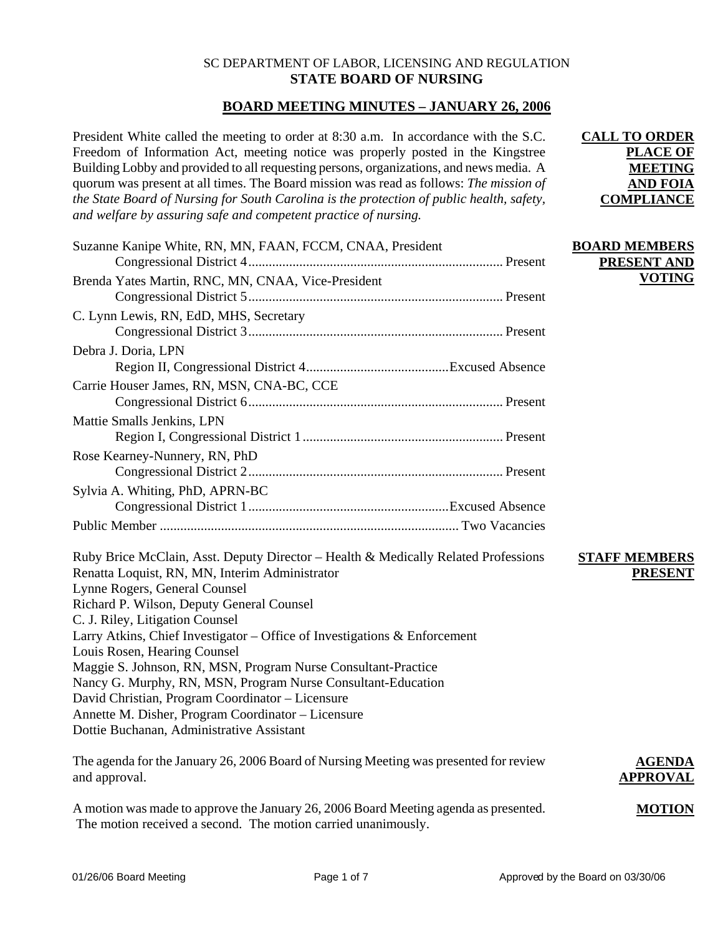## SC DEPARTMENT OF LABOR, LICENSING AND REGULATION **STATE BOARD OF NURSING**

# **BOARD MEETING MINUTES – JANUARY 26, 2006**

President White called the meeting to order at 8:30 a.m. In accordance with the S.C. Freedom of Information Act, meeting notice was properly posted in the Kingstree Building Lobby and provided to all requesting persons, organizations, and news media. A quorum was present at all times. The Board mission was read as follows: *The mission of the State Board of Nursing for South Carolina is the protection of public health, safety, and welfare by assuring safe and competent practice of nursing.*

| Suzanne Kanipe White, RN, MN, FAAN, FCCM, CNAA, President                                                                                                                                                                                                                                                                                                                                                                                                                                                                                               | <b>BOARD MEMBERS</b>                   |
|---------------------------------------------------------------------------------------------------------------------------------------------------------------------------------------------------------------------------------------------------------------------------------------------------------------------------------------------------------------------------------------------------------------------------------------------------------------------------------------------------------------------------------------------------------|----------------------------------------|
|                                                                                                                                                                                                                                                                                                                                                                                                                                                                                                                                                         | PRESENT AND                            |
| Brenda Yates Martin, RNC, MN, CNAA, Vice-President                                                                                                                                                                                                                                                                                                                                                                                                                                                                                                      | <b>VOTING</b>                          |
| C. Lynn Lewis, RN, EdD, MHS, Secretary                                                                                                                                                                                                                                                                                                                                                                                                                                                                                                                  |                                        |
| Debra J. Doria, LPN                                                                                                                                                                                                                                                                                                                                                                                                                                                                                                                                     |                                        |
|                                                                                                                                                                                                                                                                                                                                                                                                                                                                                                                                                         |                                        |
| Carrie Houser James, RN, MSN, CNA-BC, CCE                                                                                                                                                                                                                                                                                                                                                                                                                                                                                                               |                                        |
| Mattie Smalls Jenkins, LPN                                                                                                                                                                                                                                                                                                                                                                                                                                                                                                                              |                                        |
| Rose Kearney-Nunnery, RN, PhD                                                                                                                                                                                                                                                                                                                                                                                                                                                                                                                           |                                        |
| Sylvia A. Whiting, PhD, APRN-BC                                                                                                                                                                                                                                                                                                                                                                                                                                                                                                                         |                                        |
|                                                                                                                                                                                                                                                                                                                                                                                                                                                                                                                                                         |                                        |
| Ruby Brice McClain, Asst. Deputy Director - Health & Medically Related Professions<br>Renatta Loquist, RN, MN, Interim Administrator<br>Lynne Rogers, General Counsel<br>Richard P. Wilson, Deputy General Counsel<br>C. J. Riley, Litigation Counsel<br>Larry Atkins, Chief Investigator – Office of Investigations & Enforcement<br>Louis Rosen, Hearing Counsel<br>Maggie S. Johnson, RN, MSN, Program Nurse Consultant-Practice<br>Nancy G. Murphy, RN, MSN, Program Nurse Consultant-Education<br>David Christian, Program Coordinator - Licensure | <b>STAFF MEMBERS</b><br><b>PRESENT</b> |
| Annette M. Disher, Program Coordinator - Licensure<br>Dottie Buchanan, Administrative Assistant                                                                                                                                                                                                                                                                                                                                                                                                                                                         |                                        |
| The agenda for the January 26, 2006 Board of Nursing Meeting was presented for review                                                                                                                                                                                                                                                                                                                                                                                                                                                                   | <b>AGENDA</b>                          |

and approval.

A motion was made to approve the January 26, 2006 Board Meeting agenda as presented. The motion received a second. The motion carried unanimously.

**APPROVAL**

**MOTION**

**CALL TO ORDER** 

**PLACE OF MEETING AND FOIA COMPLIANCE**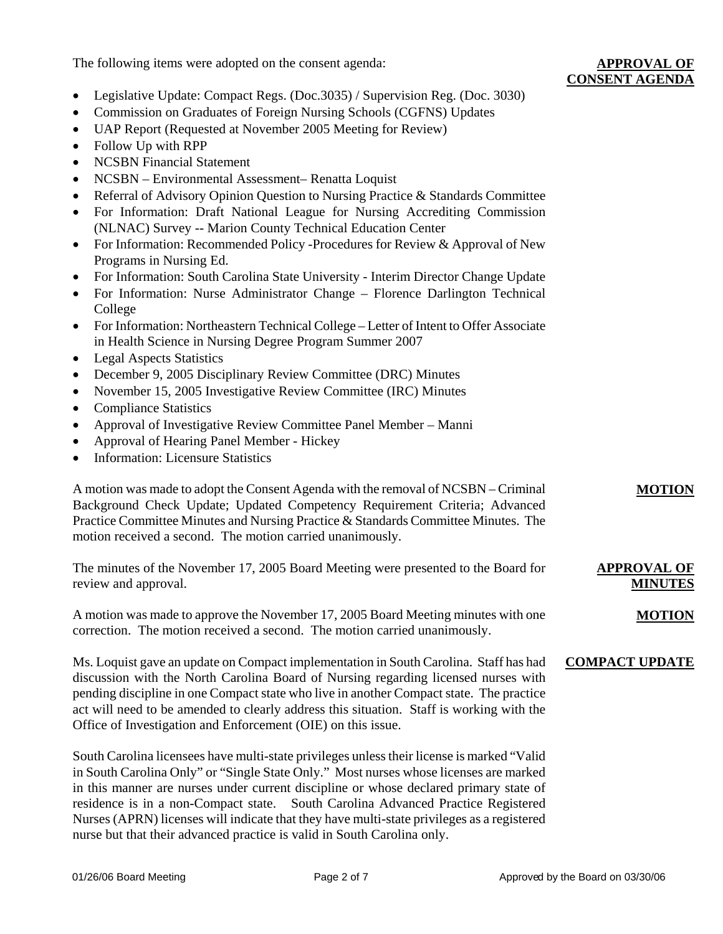The following items were adopted on the consent agenda:

**MOTION**

- Legislative Update: Compact Regs. (Doc. 3035) / Supervision Reg. (Doc. 3030)
- Commission on Graduates of Foreign Nursing Schools (CGFNS) Updates
- UAP Report (Requested at November 2005 Meeting for Review)
- Follow Up with RPP
- NCSBN Financial Statement
- NCSBN Environmental Assessment– Renatta Loquist
- Referral of Advisory Opinion Question to Nursing Practice & Standards Committee
- For Information: Draft National League for Nursing Accrediting Commission (NLNAC) Survey -- Marion County Technical Education Center
- For Information: Recommended Policy -Procedures for Review & Approval of New Programs in Nursing Ed.
- For Information: South Carolina State University Interim Director Change Update
- For Information: Nurse Administrator Change Florence Darlington Technical College
- For Information: Northeastern Technical College Letter of Intent to Offer Associate in Health Science in Nursing Degree Program Summer 2007
- Legal Aspects Statistics
- December 9, 2005 Disciplinary Review Committee (DRC) Minutes
- November 15, 2005 Investigative Review Committee (IRC) Minutes
- Compliance Statistics
- Approval of Investigative Review Committee Panel Member Manni
- Approval of Hearing Panel Member Hickey
- Information: Licensure Statistics

A motion was made to adopt the Consent Agenda with the removal of NCSBN – Criminal Background Check Update; Updated Competency Requirement Criteria; Advanced Practice Committee Minutes and Nursing Practice & Standards Committee Minutes. The motion received a second. The motion carried unanimously.

The minutes of the November 17, 2005 Board Meeting were presented to the Board for review and approval. **APPROVAL OF MINUTES**

A motion was made to approve the November 17, 2005 Board Meeting minutes with one correction. The motion received a second. The motion carried unanimously. **MOTION**

Ms. Loquist gave an update on Compact implementation in South Carolina. Staff has had discussion with the North Carolina Board of Nursing regarding licensed nurses with pending discipline in one Compact state who live in another Compact state. The practice act will need to be amended to clearly address this situation. Staff is working with the Office of Investigation and Enforcement (OIE) on this issue. **COMPACT UPDATE**

South Carolina licensees have multi-state privileges unless their license is marked "Valid in South Carolina Only" or "Single State Only." Most nurses whose licenses are marked in this manner are nurses under current discipline or whose declared primary state of residence is in a non-Compact state. South Carolina Advanced Practice Registered Nurses (APRN) licenses will indicate that they have multi-state privileges as a registered nurse but that their advanced practice is valid in South Carolina only.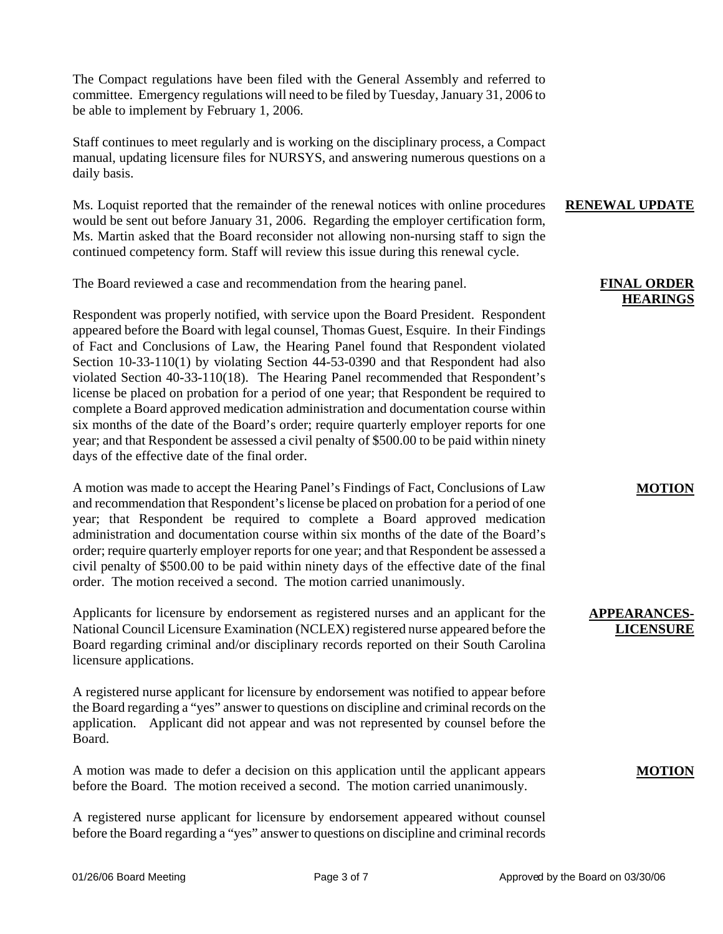The Compact regulations have been filed with the General Assembly and referred to committee. Emergency regulations will need to be filed by Tuesday, January 31, 2006 to be able to implement by February 1, 2006.

Staff continues to meet regularly and is working on the disciplinary process, a Compact manual, updating licensure files for NURSYS, and answering numerous questions on a daily basis.

Ms. Loquist reported that the remainder of the renewal notices with online procedures would be sent out before January 31, 2006. Regarding the employer certification form, Ms. Martin asked that the Board reconsider not allowing non-nursing staff to sign the continued competency form. Staff will review this issue during this renewal cycle.

The Board reviewed a case and recommendation from the hearing panel.

Respondent was properly notified, with service upon the Board President. Respondent appeared before the Board with legal counsel, Thomas Guest, Esquire. In their Findings of Fact and Conclusions of Law, the Hearing Panel found that Respondent violated Section 10-33-110(1) by violating Section 44-53-0390 and that Respondent had also violated Section 40-33-110(18). The Hearing Panel recommended that Respondent's license be placed on probation for a period of one year; that Respondent be required to complete a Board approved medication administration and documentation course within six months of the date of the Board's order; require quarterly employer reports for one year; and that Respondent be assessed a civil penalty of \$500.00 to be paid within ninety days of the effective date of the final order.

A motion was made to accept the Hearing Panel's Findings of Fact, Conclusions of Law and recommendation that Respondent's license be placed on probation for a period of one year; that Respondent be required to complete a Board approved medication administration and documentation course within six months of the date of the Board's order; require quarterly employer reports for one year; and that Respondent be assessed a civil penalty of \$500.00 to be paid within ninety days of the effective date of the final order. The motion received a second. The motion carried unanimously.

Applicants for licensure by endorsement as registered nurses and an applicant for the National Council Licensure Examination (NCLEX) registered nurse appeared before the Board regarding criminal and/or disciplinary records reported on their South Carolina licensure applications.

A registered nurse applicant for licensure by endorsement was notified to appear before the Board regarding a "yes" answer to questions on discipline and criminal records on the application. Applicant did not appear and was not represented by counsel before the Board.

A motion was made to defer a decision on this application until the applicant appears before the Board. The motion received a second. The motion carried unanimously.

A registered nurse applicant for licensure by endorsement appeared without counsel before the Board regarding a "yes" answer to questions on discipline and criminal records

### **RENEWAL UPDATE**

## **FINAL ORDER HEARINGS**

## **MOTION**

## **APPEARANCES-LICENSURE**

## **MOTION**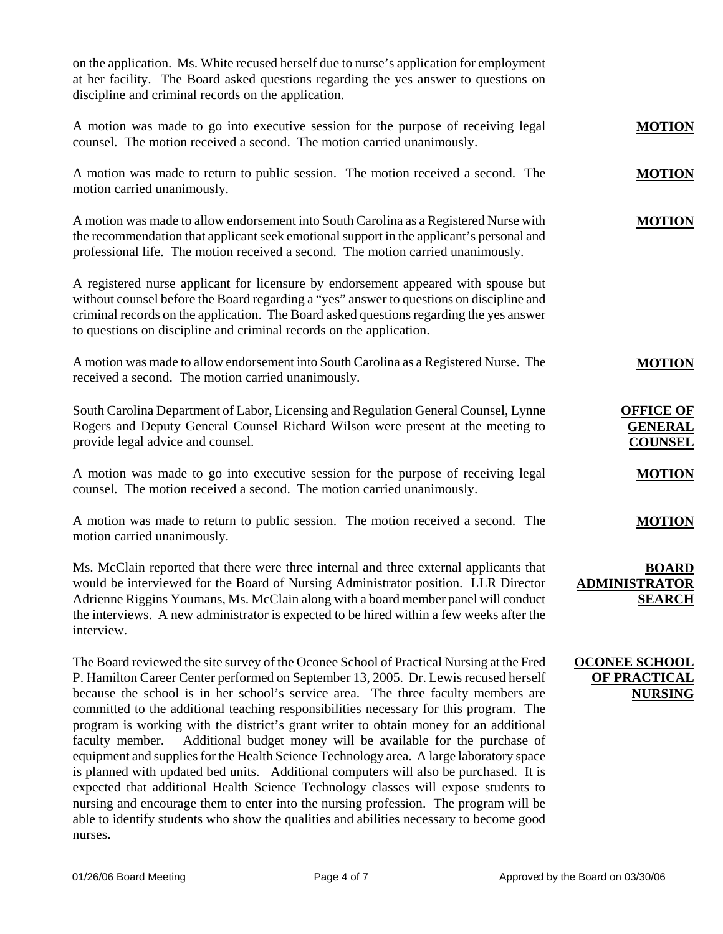on the application. Ms. White recused herself due to nurse's application for employment at her facility. The Board asked questions regarding the yes answer to questions on discipline and criminal records on the application.

| A motion was made to go into executive session for the purpose of receiving legal<br>counsel. The motion received a second. The motion carried unanimously. |               |  |
|-------------------------------------------------------------------------------------------------------------------------------------------------------------|---------------|--|
| A motion was made to return to public session. The motion received a second. The                                                                            | <b>MOTION</b> |  |

A motion was made to allow endorsement into South Carolina as a Registered Nurse with the recommendation that applicant seek emotional support in the applicant's personal and professional life. The motion received a second. The motion carried unanimously.

A registered nurse applicant for licensure by endorsement appeared with spouse but without counsel before the Board regarding a "yes" answer to questions on discipline and criminal records on the application. The Board asked questions regarding the yes answer to questions on discipline and criminal records on the application.

A motion was made to allow endorsement into South Carolina as a Registered Nurse. The received a second. The motion carried unanimously.

South Carolina Department of Labor, Licensing and Regulation General Counsel, Lynne Rogers and Deputy General Counsel Richard Wilson were present at the meeting to provide legal advice and counsel.

A motion was made to go into executive session for the purpose of receiving legal counsel. The motion received a second. The motion carried unanimously.

A motion was made to return to public session. The motion received a second. The motion carried unanimously.

Ms. McClain reported that there were three internal and three external applicants that would be interviewed for the Board of Nursing Administrator position. LLR Director Adrienne Riggins Youmans, Ms. McClain along with a board member panel will conduct the interviews. A new administrator is expected to be hired within a few weeks after the interview.

The Board reviewed the site survey of the Oconee School of Practical Nursing at the Fred P. Hamilton Career Center performed on September 13, 2005. Dr. Lewis recused herself because the school is in her school's service area. The three faculty members are committed to the additional teaching responsibilities necessary for this program. The program is working with the district's grant writer to obtain money for an additional faculty member. Additional budget money will be available for the purchase of equipment and supplies for the Health Science Technology area. A large laboratory space is planned with updated bed units. Additional computers will also be purchased. It is expected that additional Health Science Technology classes will expose students to nursing and encourage them to enter into the nursing profession. The program will be able to identify students who show the qualities and abilities necessary to become good nurses.

# **SEARCH**

**ADMINISTRAT** 

**MOTION**

**MOTION**

**OFFICE OF GENERAL COUNSEL**

**MOTION**

**MOTION**

**BOARD** 

# **OCONEE SCHOOL OF PRACTICAL NURSING**

motion carried unanimously.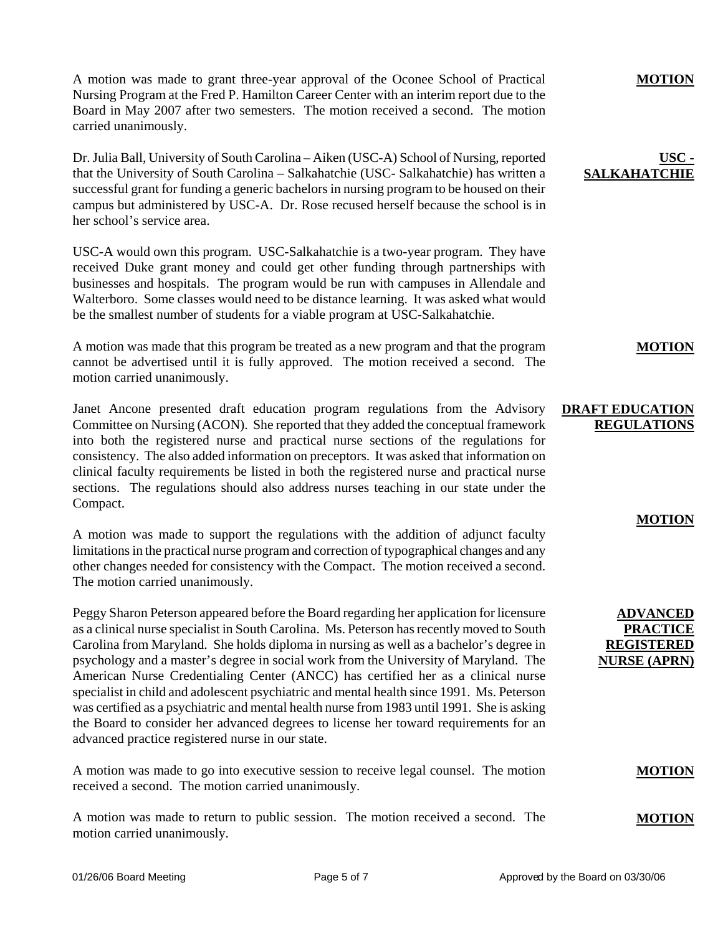A motion was made to grant three-year approval of the Oconee School of Practical Nursing Program at the Fred P. Hamilton Career Center with an interim report due to the Board in May 2007 after two semesters. The motion received a second. The motion carried unanimously.

Dr. Julia Ball, University of South Carolina – Aiken (USC-A) School of Nursing, reported that the University of South Carolina – Salkahatchie (USC- Salkahatchie) has written a successful grant for funding a generic bachelors in nursing program to be housed on their campus but administered by USC-A. Dr. Rose recused herself because the school is in her school's service area.

USC-A would own this program. USC-Salkahatchie is a two-year program. They have received Duke grant money and could get other funding through partnerships with businesses and hospitals. The program would be run with campuses in Allendale and Walterboro. Some classes would need to be distance learning. It was asked what would be the smallest number of students for a viable program at USC-Salkahatchie.

A motion was made that this program be treated as a new program and that the program cannot be advertised until it is fully approved. The motion received a second. The motion carried unanimously.

Janet Ancone presented draft education program regulations from the Advisory Committee on Nursing (ACON). She reported that they added the conceptual framework into both the registered nurse and practical nurse sections of the regulations for consistency. The also added information on preceptors. It was asked that information on clinical faculty requirements be listed in both the registered nurse and practical nurse sections. The regulations should also address nurses teaching in our state under the Compact.

A motion was made to support the regulations with the addition of adjunct faculty limitations in the practical nurse program and correction of typographical changes and any other changes needed for consistency with the Compact. The motion received a second. The motion carried unanimously.

Peggy Sharon Peterson appeared before the Board regarding her application for licensure as a clinical nurse specialist in South Carolina. Ms. Peterson has recently moved to South Carolina from Maryland. She holds diploma in nursing as well as a bachelor's degree in psychology and a master's degree in social work from the University of Maryland. The American Nurse Credentialing Center (ANCC) has certified her as a clinical nurse specialist in child and adolescent psychiatric and mental health since 1991. Ms. Peterson was certified as a psychiatric and mental health nurse from 1983 until 1991. She is asking the Board to consider her advanced degrees to license her toward requirements for an advanced practice registered nurse in our state.

A motion was made to go into executive session to receive legal counsel. The motion received a second. The motion carried unanimously.

A motion was made to return to public session. The motion received a second. The motion carried unanimously.

#### **MOTION**

## **USC - SALKAHAT**

## **MOTION**

# **DRAFT EDUCATION REGULATIONS**

## **MOTION**

# **ADVANCED PRACTICE REGISTERED NURSE (APRN)**

# **MOTION**

## **MOTION**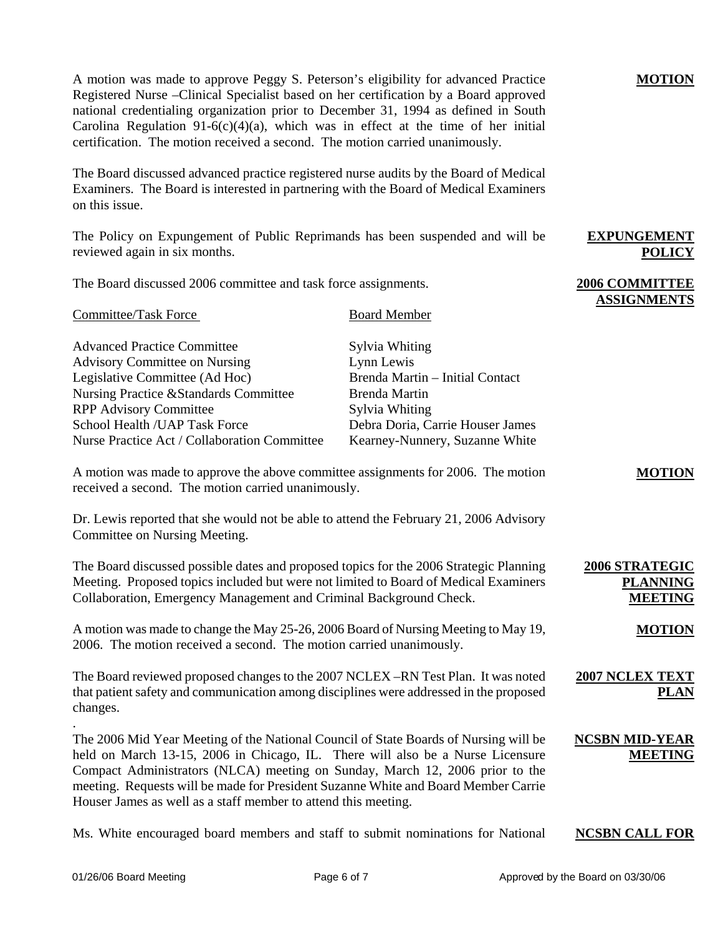A motion was made to approve Peggy S. Peterson's eligibility for advanced Practice Registered Nurse –Clinical Specialist based on her certification by a Board approved national credentialing organization prior to December 31, 1994 as defined in South Carolina Regulation 91-6(c)(4)(a), which was in effect at the time of her initial certification. The motion received a second. The motion carried unanimously.

The Board discussed advanced practice registered nurse audits by the Board of Medical Examiners. The Board is interested in partnering with the Board of Medical Examiners on this issue.

The Policy on Expungement of Public Reprimands has been suspended and will be reviewed again in six months.

The Board discussed 2006 committee and task force assignments.

| <b>Committee/Task Force</b>                       | <b>Board Member</b>              |
|---------------------------------------------------|----------------------------------|
| <b>Advanced Practice Committee</b>                | Sylvia Whiting                   |
| <b>Advisory Committee on Nursing</b>              | Lynn Lewis                       |
| Legislative Committee (Ad Hoc)                    | Brenda Martin - Initial Contact  |
| <b>Nursing Practice &amp; Standards Committee</b> | Brenda Martin                    |
| <b>RPP Advisory Committee</b>                     | Sylvia Whiting                   |
| School Health / UAP Task Force                    | Debra Doria, Carrie Houser James |
| Nurse Practice Act / Collaboration Committee      | Kearney-Nunnery, Suzanne White   |

A motion was made to approve the above committee assignments for 2006. The motion received a second. The motion carried unanimously.

Dr. Lewis reported that she would not be able to attend the February 21, 2006 Advisory Committee on Nursing Meeting.

The Board discussed possible dates and proposed topics for the 2006 Strategic Planning Meeting. Proposed topics included but were not limited to Board of Medical Examiners Collaboration, Emergency Management and Criminal Background Check. **2006 STRATEGIC PLANNING MEETING**

A motion was made to change the May 25-26, 2006 Board of Nursing Meeting to May 19, 2006. The motion received a second. The motion carried unanimously.

The Board reviewed proposed changes to the 2007 NCLEX –RN Test Plan. It was noted that patient safety and communication among disciplines were addressed in the proposed changes. **2007 NCLEX TEXT** 

The 2006 Mid Year Meeting of the National Council of State Boards of Nursing will be held on March 13-15, 2006 in Chicago, IL. There will also be a Nurse Licensure Compact Administrators (NLCA) meeting on Sunday, March 12, 2006 prior to the meeting. Requests will be made for President Suzanne White and Board Member Carrie Houser James as well as a staff member to attend this meeting.

Ms. White encouraged board members and staff to submit nominations for National **NCSBN CALL FOR** 

**NCSBN MID-YEAR** 

.

## **MOTION**

**EXPUNGEMENT** 

**2006 COMMITTEE ASSIGNMENTS**

**POLICY**

**MOTION**

**MOTION**

**PLAN**

**MEETING**